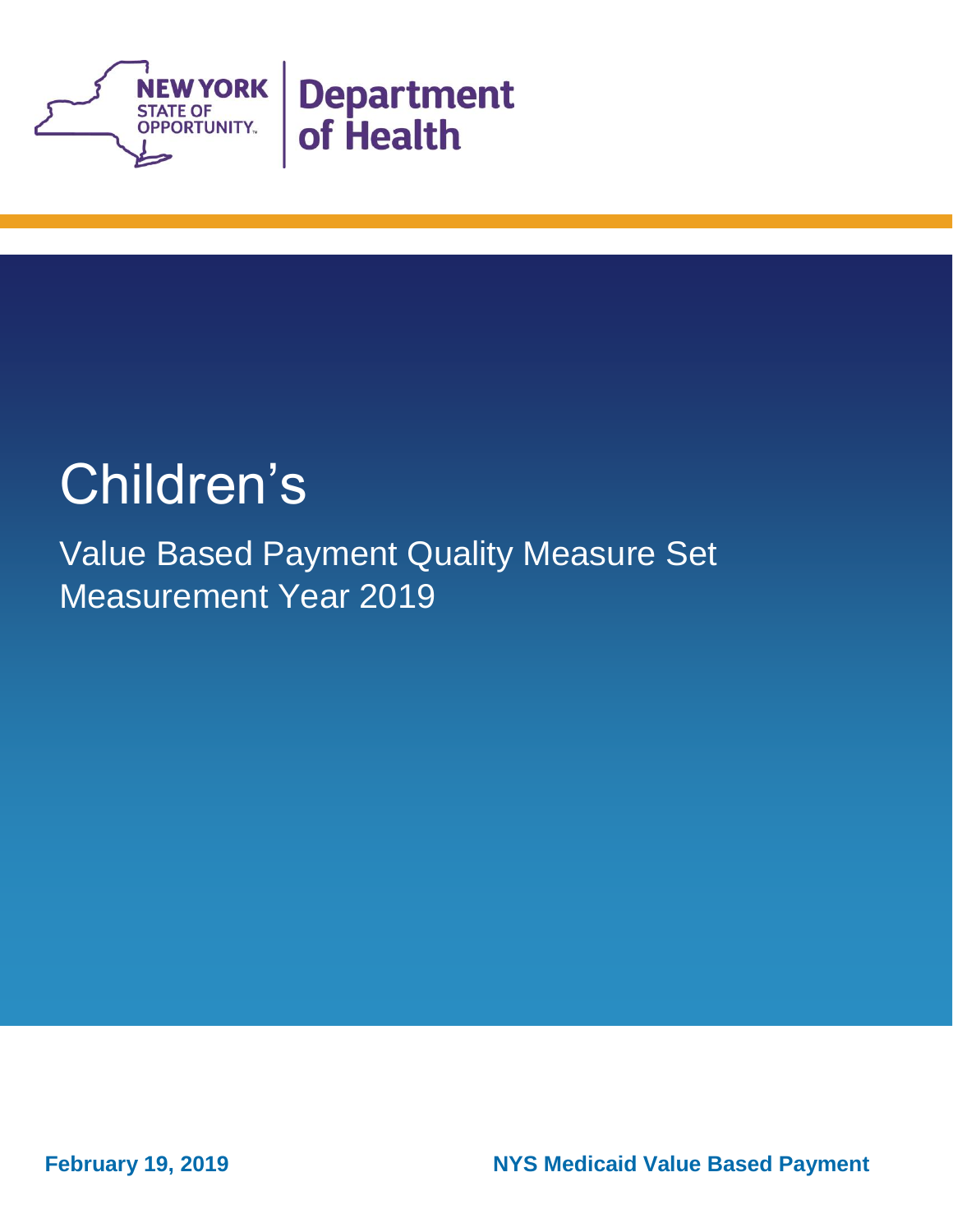

## Children's

Value Based Payment Quality Measure Set Measurement Year 2019

**February 19, 2019** 

**NYS Medicaid Value Based Payment**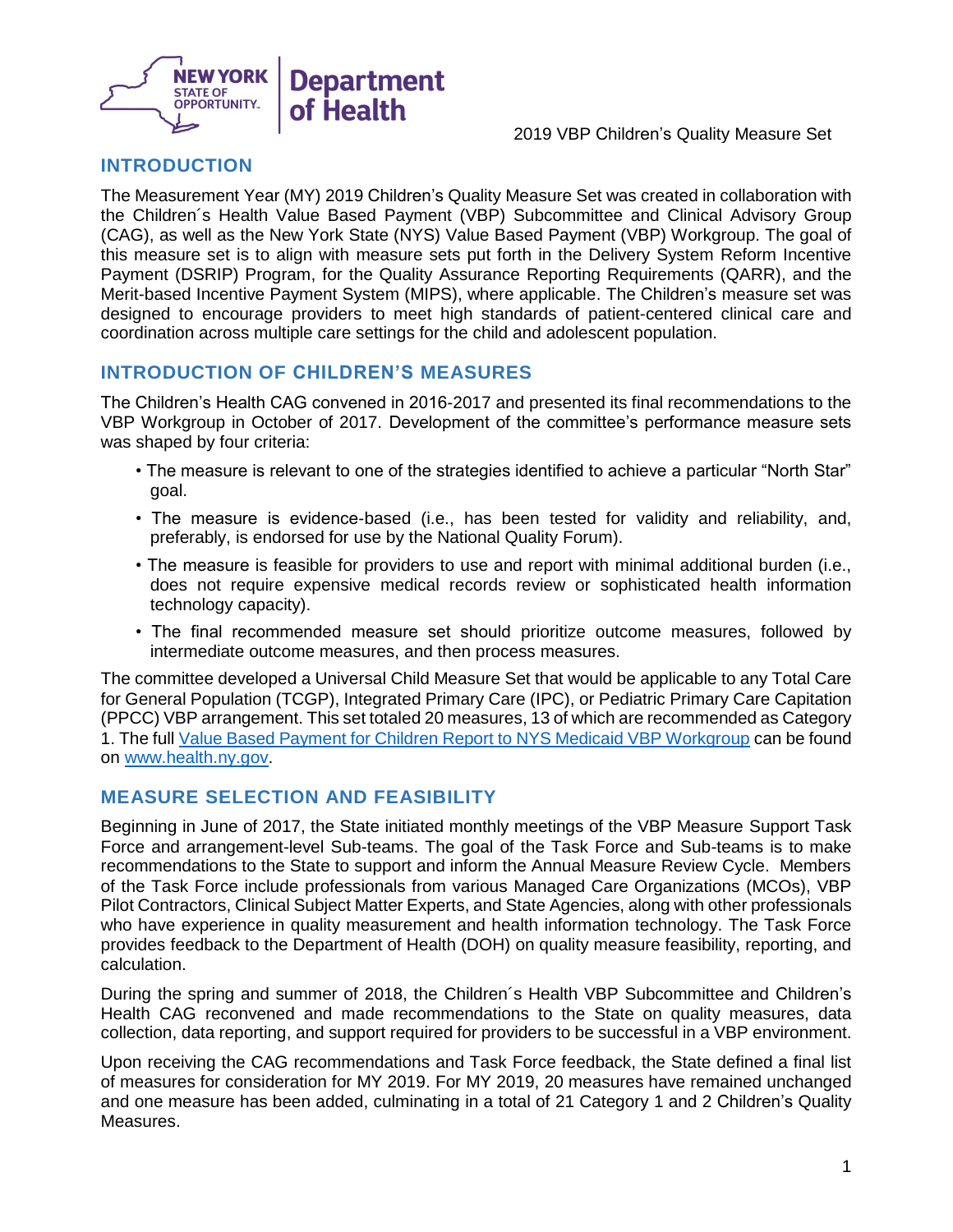

#### **INTRODUCTION**

 The Measurement Year (MY) 2019 Children's Quality Measure Set was created in collaboration with the Children´s Health Value Based Payment (VBP) Subcommittee and Clinical Advisory Group (CAG), as well as the New York State (NYS) Value Based Payment (VBP) Workgroup. The goal of this measure set is to align with measure sets put forth in the Delivery System Reform Incentive Payment (DSRIP) Program, for the Quality Assurance Reporting Requirements (QARR), and the designed to encourage providers to meet high standards of patient-centered clinical care and coordination across multiple care settings for the child and adolescent population. Merit-based Incentive Payment System (MIPS), where applicable. The Children's measure set was

## **INTRODUCTION OF CHILDREN'S MEASURES**

 The Children's Health CAG convened in 2016-2017 and presented its final recommendations to the VBP Workgroup in October of 2017. Development of the committee's performance measure sets was shaped by four criteria:

- • The measure is relevant to one of the strategies identified to achieve a particular "North Star" goal.
- • The measure is evidence-based (i.e., has been tested for validity and reliability, and, preferably, is endorsed for use by the National Quality Forum).
- • The measure is feasible for providers to use and report with minimal additional burden (i.e., does not require expensive medical records review or sophisticated health information technology capacity).
- • The final recommended measure set should prioritize outcome measures, followed by intermediate outcome measures, and then process measures.

 The committee developed a Universal Child Measure Set that would be applicable to any Total Care for General Population (TCGP), Integrated Primary Care (IPC), or Pediatric Primary Care Capitation (PPCC) VBP arrangement. This set totaled 20 measures, 13 of which are recommended as Category 1. The full [Value Based Payment for Children Report to NYS Medicaid VBP Workgroup](https://www.health.ny.gov/health_care/medicaid/redesign/dsrip/vbp_library/docs/2017-09-12_child_cag.pdf) can be found on [www.health.ny.gov.](http://www.health.ny.gov/)

## **MEASURE SELECTION AND FEASIBILITY**

 Beginning in June of 2017, the State initiated monthly meetings of the VBP Measure Support Task Force and arrangement-level Sub-teams. The goal of the Task Force and Sub-teams is to make recommendations to the State to support and inform the Annual Measure Review Cycle. Members of the Task Force include professionals from various Managed Care Organizations (MCOs), VBP Pilot Contractors, Clinical Subject Matter Experts, and State Agencies, along with other professionals who have experience in quality measurement and health information technology. The Task Force provides feedback to the Department of Health (DOH) on quality measure feasibility, reporting, and calculation.

 During the spring and summer of 2018, the Children´s Health VBP Subcommittee and Children's Health CAG reconvened and made recommendations to the State on quality measures, data collection, data reporting, and support required for providers to be successful in a VBP environment.

 Upon receiving the CAG recommendations and Task Force feedback, the State defined a final list of measures for consideration for MY 2019. For MY 2019, 20 measures have remained unchanged and one measure has been added, culminating in a total of 21 Category 1 and 2 Children's Quality Measures.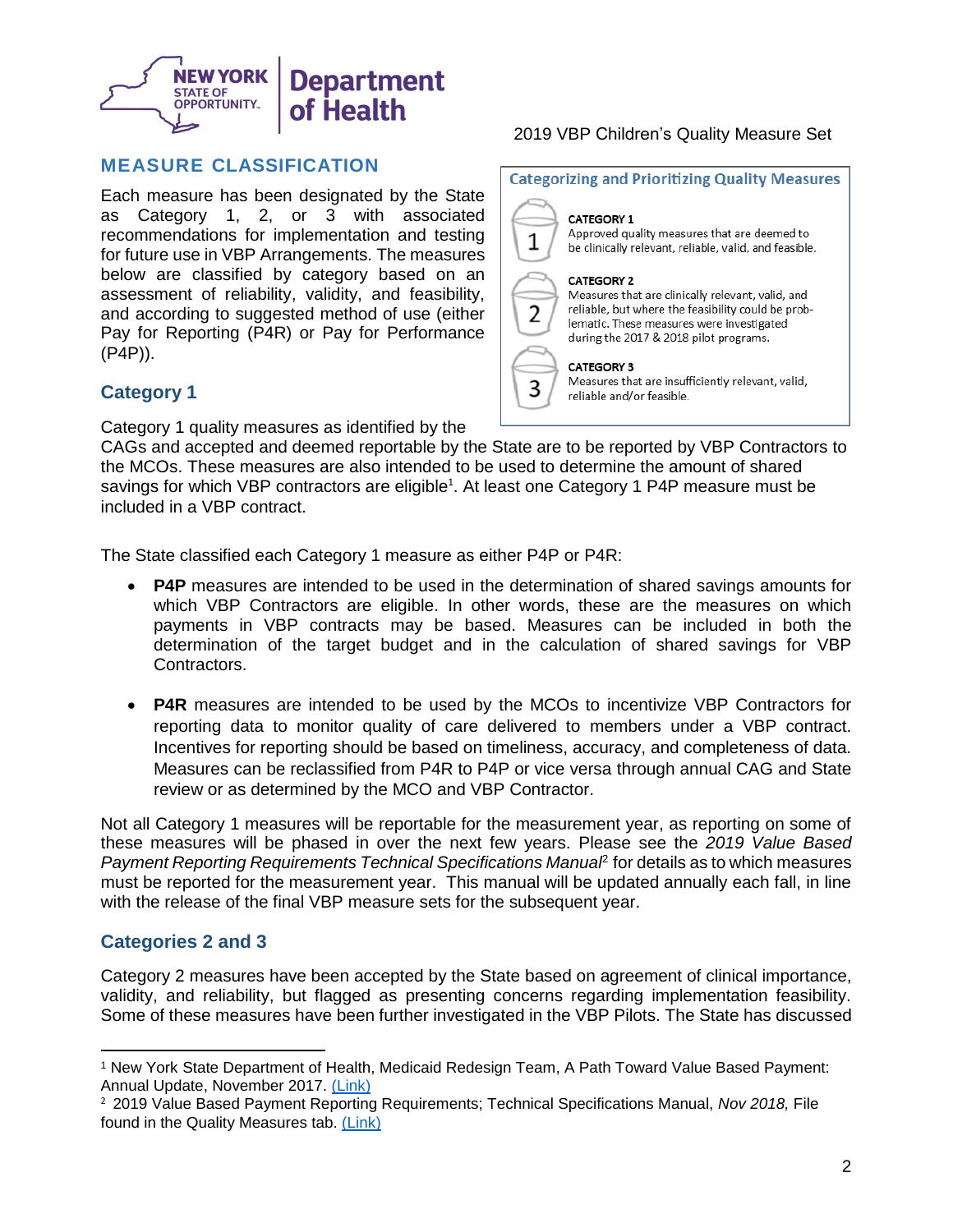

#### **MEASURE CLASSIFICATION**

 Each measure has been designated by the State as Category 1, 2, or 3 with associated for future use in VBP Arrangements. The measures below are classified by category based on an assessment of reliability, validity, and feasibility, and according to suggested method of use (either Pay for Reporting (P4R) or Pay for Performance recommendations for implementation and testing (P4P)).

#### **Category 1**

Category 1 quality measures as identified by the

#### 2019 VBP Children's Quality Measure Set



 CAGs and accepted and deemed reportable by the State are to be reported by VBP Contractors to the MCOs. These measures are also intended to be used to determine the amount of shared savings for which VBP contractors are eligible<sup>1</sup>. At least one Category 1 P4P measure must be included in a VBP contract.

The State classified each Category 1 measure as either P4P or P4R:

- • **P4P** measures are intended to be used in the determination of shared savings amounts for which VBP Contractors are eligible. In other words, these are the measures on which payments in VBP contracts may be based. Measures can be included in both the determination of the target budget and in the calculation of shared savings for VBP Contractors.
- • **P4R** measures are intended to be used by the MCOs to incentivize VBP Contractors for reporting data to monitor quality of care delivered to members under a VBP contract. Incentives for reporting should be based on timeliness, accuracy, and completeness of data. Measures can be reclassified from P4R to P4P or vice versa through annual CAG and State review or as determined by the MCO and VBP Contractor.

 Not all Category 1 measures will be reportable for the measurement year, as reporting on some of these measures will be phased in over the next few years. Please see the *2019 Value Based*  Payment Reporting Requirements Technical Specifications Manua<sup>p</sup> for details as to which measures must be reported for the measurement year. This manual will be updated annually each fall, in line with the release of the final VBP measure sets for the subsequent year.

#### **Categories 2 and 3**

 $\overline{a}$ 

 Category 2 measures have been accepted by the State based on agreement of clinical importance, validity, and reliability, but flagged as presenting concerns regarding implementation feasibility. Some of these measures have been further investigated in the VBP Pilots. The State has discussed

<sup>1</sup> New York State Department of Health, Medicaid Redesign Team, A Path Toward Value Based Payment: Annual Update, November 2017. [\(Link\)](https://www.health.ny.gov/health_care/medicaid/redesign/dsrip/vbp_library/index.htm) 

<sup>&</sup>lt;sup>2</sup> 2019 Value Based Payment Reporting Requirements; Technical Specifications Manual, *Nov 2018,* File found in the Quality Measures tab. [\(Link\)](https://www.health.ny.gov/health_care/medicaid/redesign/dsrip/vbp_library/index.htm)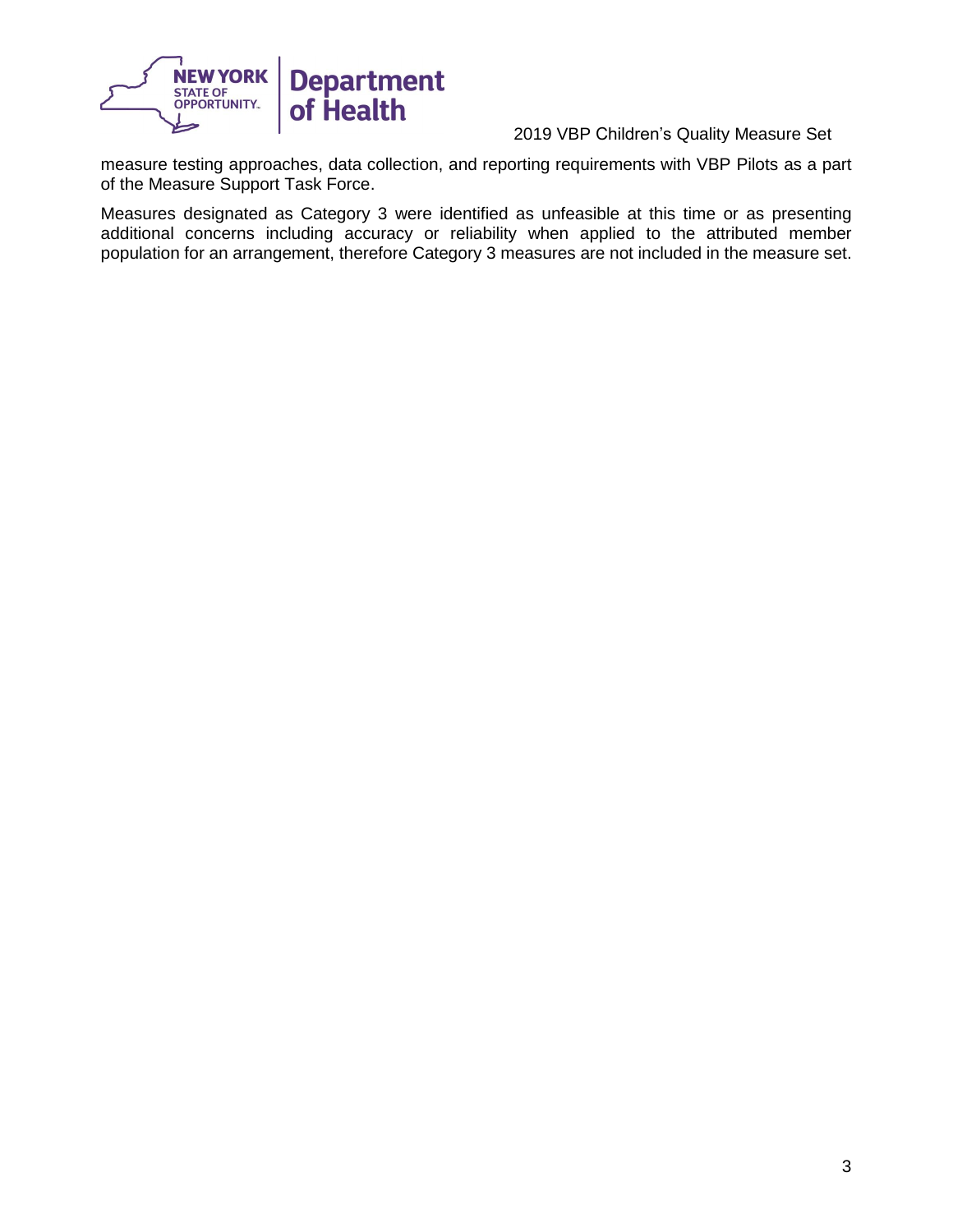

 measure testing approaches, data collection, and reporting requirements with VBP Pilots as a part of the Measure Support Task Force.

 additional concerns including accuracy or reliability when applied to the attributed member population for an arrangement, therefore Category 3 measures are not included in the measure set. Measures designated as Category 3 were identified as unfeasible at this time or as presenting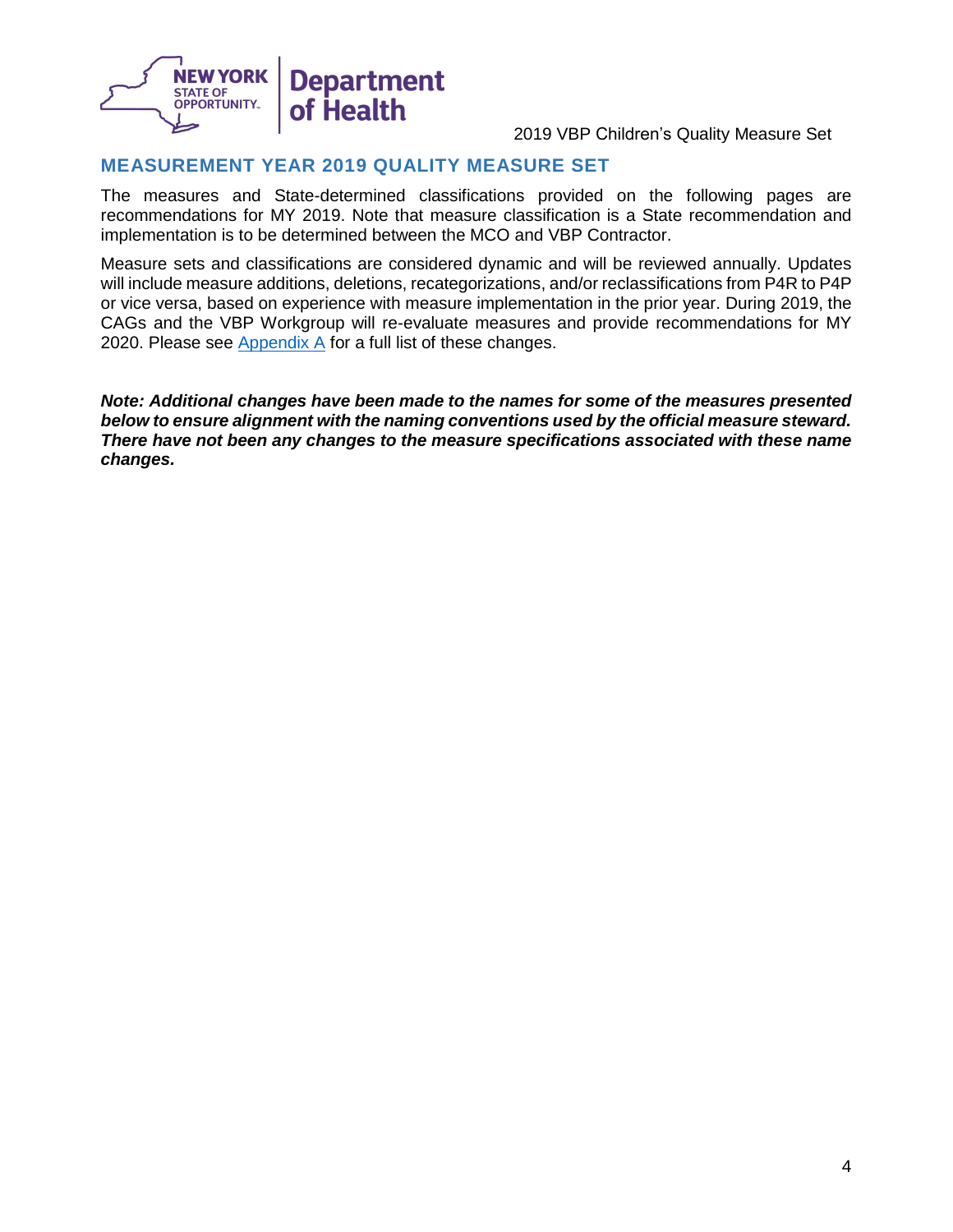

### **MEASUREMENT YEAR 2019 QUALITY MEASURE SET**

 recommendations for MY 2019. Note that measure classification is a State recommendation and implementation is to be determined between the MCO and VBP Contractor. The measures and State-determined classifications provided on the following pages are

 Measure sets and classifications are considered dynamic and will be reviewed annually. Updates will include measure additions, deletions, recategorizations, and/or reclassifications from P4R to P4P or vice versa, based on experience with measure implementation in the prior year. During 2019, the CAGs and the VBP Workgroup will re-evaluate measures and provide recommendations for MY 2020. Please see <u>Appendix A</u> for a full list of these changes.

 *Note: Additional changes have been made to the names for some of the measures presented below to ensure alignment with the naming conventions used by the official measure steward. There have not been any changes to the measure specifications associated with these name changes.*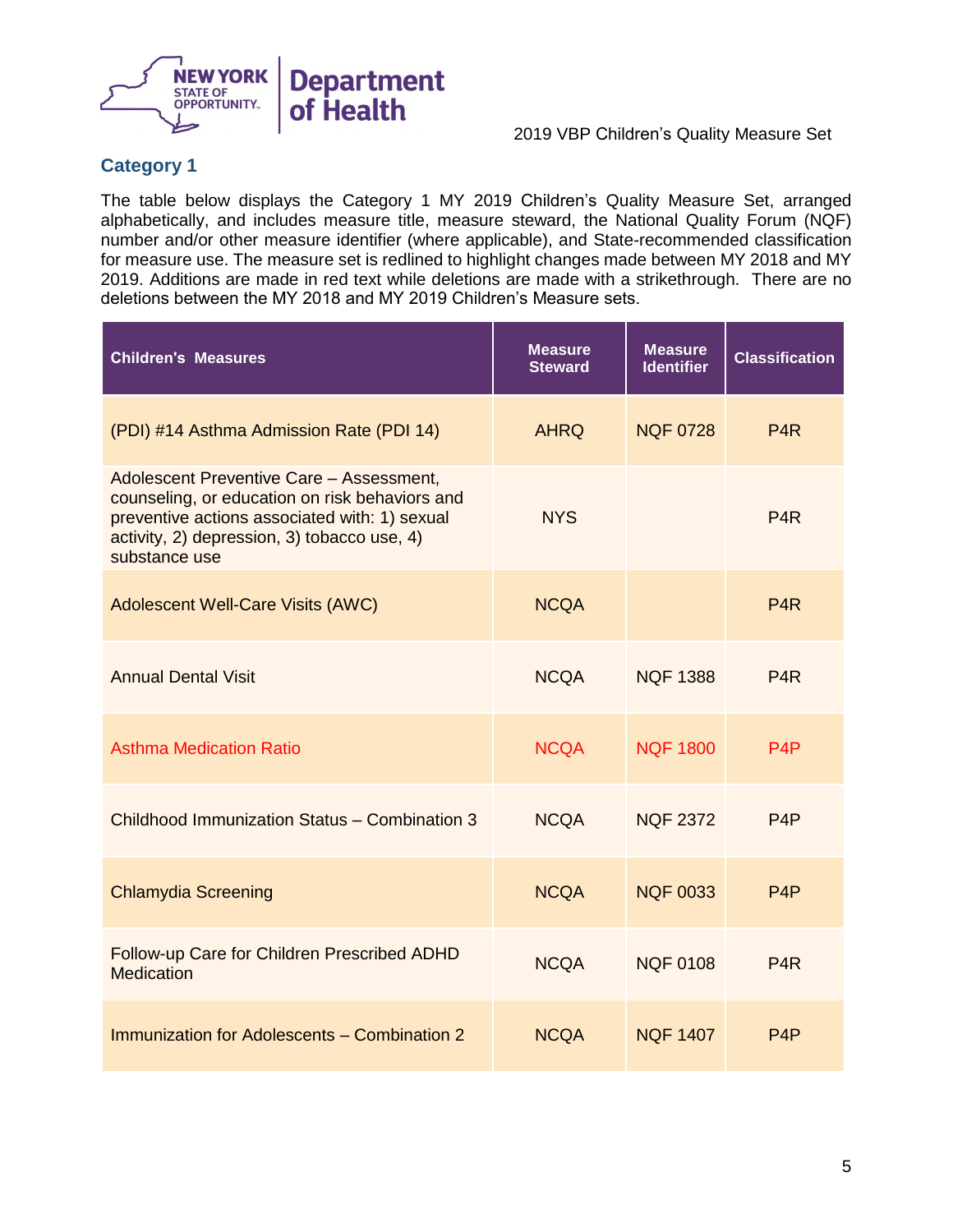

## **Category 1**

 alphabetically, and includes measure title, measure steward, the National Quality Forum (NQF) number and/or other measure identifier (where applicable), and State-recommended classification for measure use. The measure set is redlined to highlight changes made between MY 2018 and MY 2019. Additions are made in red text while deletions are made with a strikethrough. There are no deletions between the MY 2018 and MY 2019 Children's Measure sets. The table below displays the Category 1 MY 2019 Children's Quality Measure Set, arranged

| <b>Children's Measures</b>                                                                                                                                                                                  | <b>Measure</b><br><b>Steward</b> | <b>Measure</b><br><b>Identifier</b> | <b>Classification</b> |
|-------------------------------------------------------------------------------------------------------------------------------------------------------------------------------------------------------------|----------------------------------|-------------------------------------|-----------------------|
| (PDI) #14 Asthma Admission Rate (PDI 14)                                                                                                                                                                    | <b>AHRQ</b>                      | <b>NQF 0728</b>                     | P <sub>4</sub> R      |
| Adolescent Preventive Care - Assessment,<br>counseling, or education on risk behaviors and<br>preventive actions associated with: 1) sexual<br>activity, 2) depression, 3) tobacco use, 4)<br>substance use | <b>NYS</b>                       |                                     | P <sub>4</sub> R      |
| <b>Adolescent Well-Care Visits (AWC)</b>                                                                                                                                                                    | <b>NCQA</b>                      |                                     | P <sub>4</sub> R      |
| <b>Annual Dental Visit</b>                                                                                                                                                                                  | <b>NCQA</b>                      | <b>NOF 1388</b>                     | P <sub>4</sub> R      |
| <b>Asthma Medication Ratio</b>                                                                                                                                                                              | <b>NCQA</b>                      | <b>NQF 1800</b>                     | P <sub>4</sub> P      |
| Childhood Immunization Status - Combination 3                                                                                                                                                               | <b>NCQA</b>                      | <b>NQF 2372</b>                     | P <sub>4</sub> P      |
| <b>Chlamydia Screening</b>                                                                                                                                                                                  | <b>NCQA</b>                      | <b>NQF 0033</b>                     | P <sub>4</sub> P      |
| Follow-up Care for Children Prescribed ADHD<br><b>Medication</b>                                                                                                                                            | <b>NCQA</b>                      | <b>NQF 0108</b>                     | P <sub>4</sub> R      |
| Immunization for Adolescents - Combination 2                                                                                                                                                                | <b>NCQA</b>                      | <b>NQF 1407</b>                     | P <sub>4</sub> P      |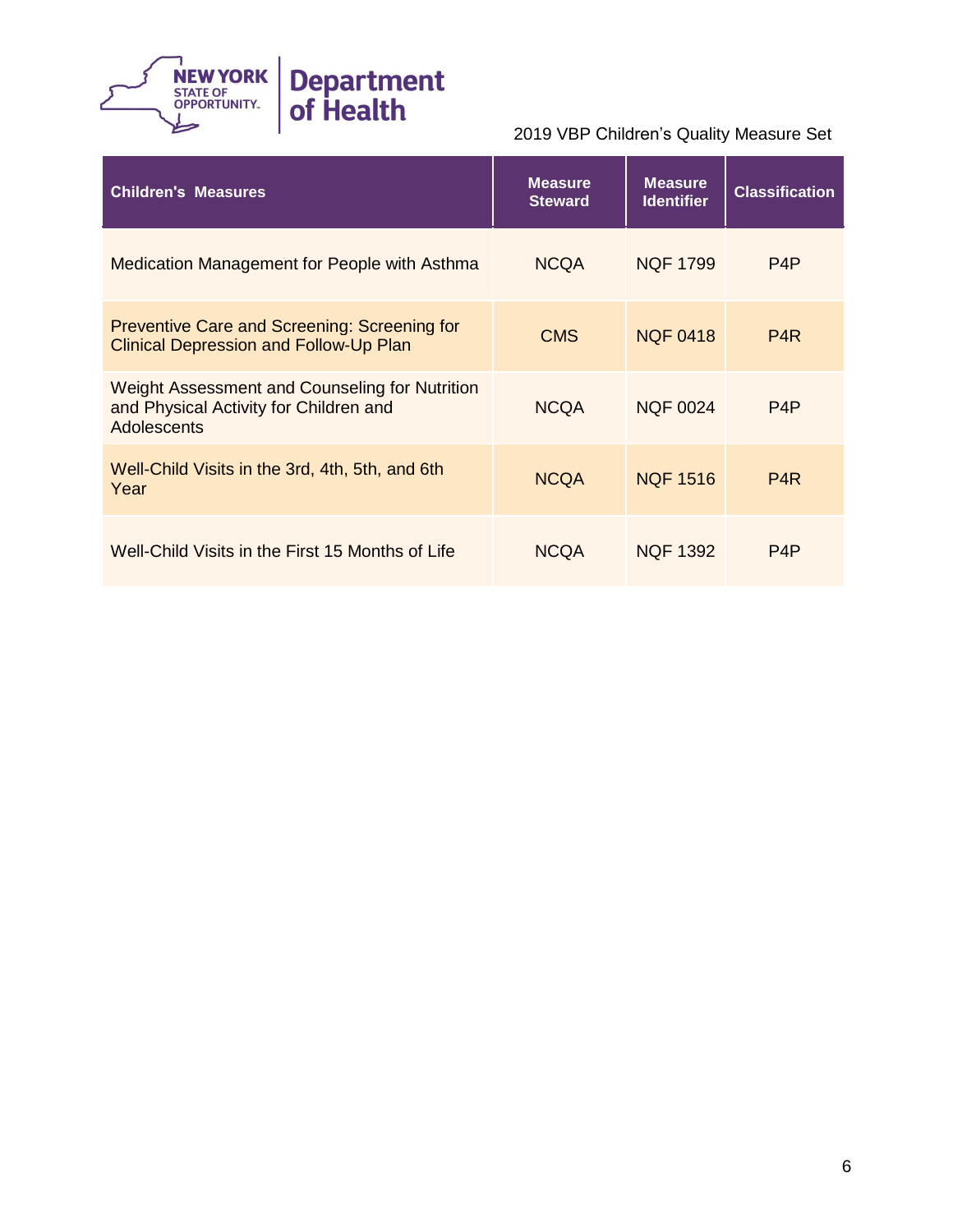

| <b>Children's Measures</b>                                                                              | <b>Measure</b><br><b>Steward</b> | <b>Measure</b><br><b>Identifier</b> | <b>Classification</b> |
|---------------------------------------------------------------------------------------------------------|----------------------------------|-------------------------------------|-----------------------|
| Medication Management for People with Asthma                                                            | <b>NCQA</b>                      | <b>NQF 1799</b>                     | P <sub>4</sub> P      |
| <b>Preventive Care and Screening: Screening for</b><br><b>Clinical Depression and Follow-Up Plan</b>    | <b>CMS</b>                       | <b>NQF 0418</b>                     | P <sub>4</sub> R      |
| Weight Assessment and Counseling for Nutrition<br>and Physical Activity for Children and<br>Adolescents | <b>NCQA</b>                      | <b>NQF 0024</b>                     | P <sub>4</sub> P      |
| Well-Child Visits in the 3rd, 4th, 5th, and 6th<br>Year                                                 | <b>NCQA</b>                      | <b>NQF 1516</b>                     | P <sub>4</sub> R      |
| Well-Child Visits in the First 15 Months of Life                                                        | <b>NCQA</b>                      | <b>NQF 1392</b>                     | P <sub>4</sub> P      |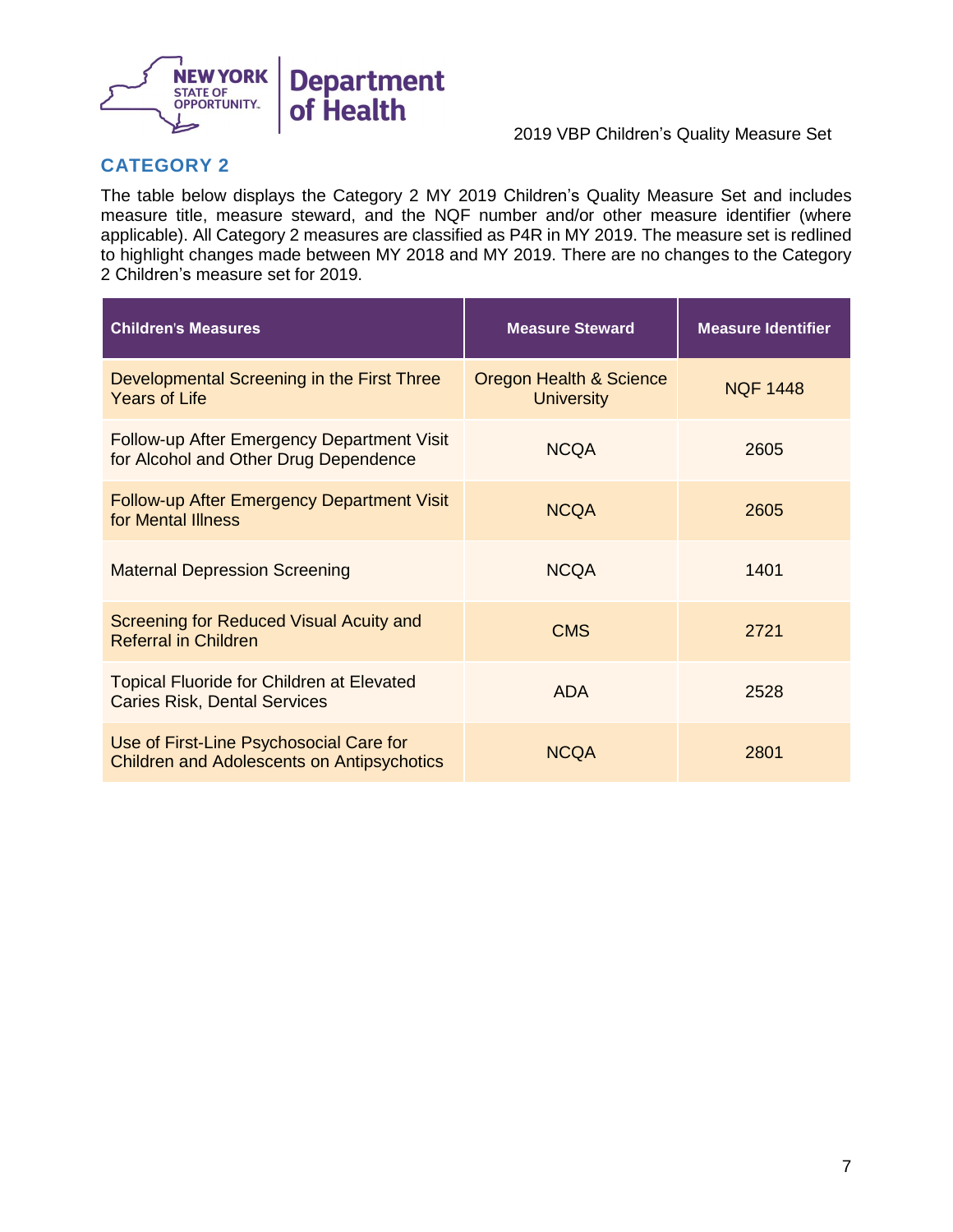

## **CATEGORY 2**

 The table below displays the Category 2 MY 2019 Children's Quality Measure Set and includes measure title, measure steward, and the NQF number and/or other measure identifier (where applicable). All Category 2 measures are classified as P4R in MY 2019. The measure set is redlined to highlight changes made between MY 2018 and MY 2019. There are no changes to the Category 2 Children's measure set for 2019.

| <b>Children's Measures</b>                                                                   | <b>Measure Steward</b>                       | <b>Measure Identifier</b> |
|----------------------------------------------------------------------------------------------|----------------------------------------------|---------------------------|
| Developmental Screening in the First Three<br><b>Years of Life</b>                           | Oregon Health & Science<br><b>University</b> | <b>NQF 1448</b>           |
| Follow-up After Emergency Department Visit<br>for Alcohol and Other Drug Dependence          | <b>NCQA</b>                                  | 2605                      |
| <b>Follow-up After Emergency Department Visit</b><br>for Mental Illness                      | <b>NCQA</b>                                  | 2605                      |
| <b>Maternal Depression Screening</b>                                                         | <b>NCQA</b>                                  | 1401                      |
| Screening for Reduced Visual Acuity and<br><b>Referral in Children</b>                       | <b>CMS</b>                                   | 2721                      |
| <b>Topical Fluoride for Children at Elevated</b><br><b>Caries Risk, Dental Services</b>      | <b>ADA</b>                                   | 2528                      |
| Use of First-Line Psychosocial Care for<br><b>Children and Adolescents on Antipsychotics</b> | <b>NCQA</b>                                  | 2801                      |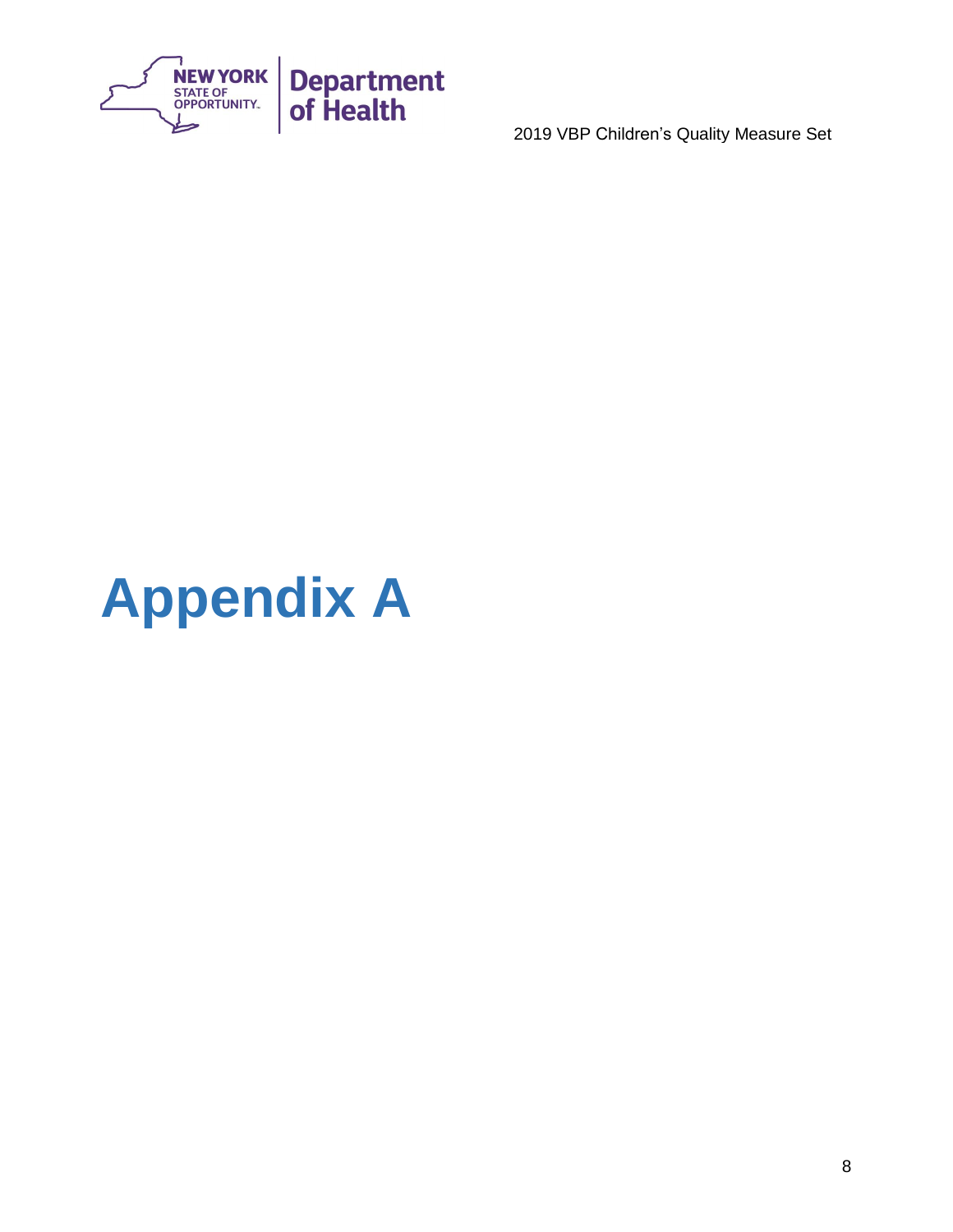

# <span id="page-8-0"></span>**Appendix A**